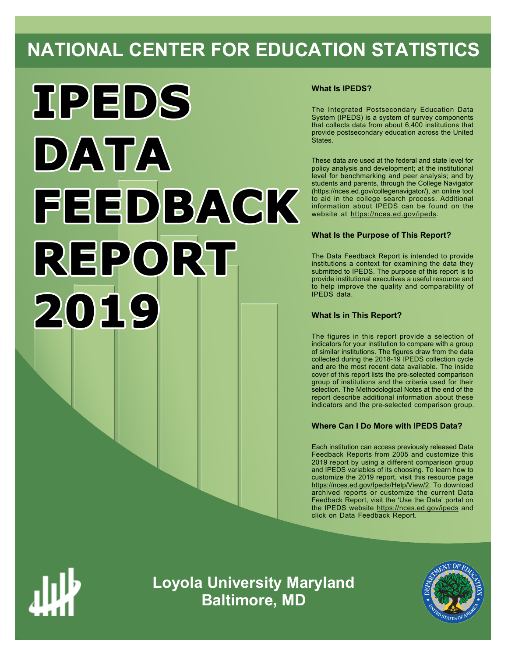# **NATIONAL CENTER FOR EDUCATION STATISTICS**



# **What Is IPEDS?**

The Integrated Postsecondary Education Data System (IPEDS) is a system of survey components that collects data from about 6,400 institutions that provide postsecondary education across the United States.

These data are used at the federal and state level for policy analysis and development; at the institutional level for benchmarking and peer analysis; and by students and parents, through the College Navigator ([https://nces.ed.gov/collegenavigator/\)](https://nces.ed.gov/collegenavigator/), an online tool to aid in the college search process. Additional information about IPEDS can be found on the website at<https://nces.ed.gov/ipeds>.

# **What Is the Purpose of This Report?**

The Data Feedback Report is intended to provide institutions a context for examining the data they submitted to IPEDS. The purpose of this report is to provide institutional executives a useful resource and to help improve the quality and comparability of IPEDS data.

# **What Is in This Report?**

The figures in this report provide a selection of indicators for your institution to compare with a group of similar institutions. The figures draw from the data collected during the 2018-19 IPEDS collection cycle and are the most recent data available. The inside cover of this report lists the pre-selected comparison group of institutions and the criteria used for their selection. The Methodological Notes at the end of the report describe additional information about these indicators and the pre-selected comparison group.

# **Where Can I Do More with IPEDS Data?**

Each institution can access previously released Data Feedback Reports from 2005 and customize this 2019 report by using a different comparison group and IPEDS variables of its choosing. To learn how to customize the 2019 report, visit this resource page <https://nces.ed.gov/Ipeds/Help/View/2>. To download archived reports or customize the current Data Feedback Report, visit the 'Use the Data' portal on the IPEDS website<https://nces.ed.gov/ipeds> and click on Data Feedback Report.



**Loyola University Maryland Baltimore, MD**

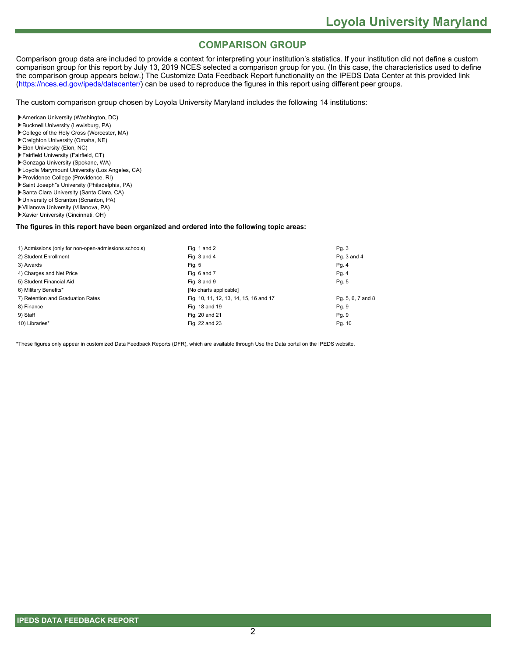# **COMPARISON GROUP**

Comparison group data are included to provide a context for interpreting your institution's statistics. If your institution did not define a custom comparison group for this report by July 13, 2019 NCES selected a comparison group for you. (In this case, the characteristics used to define the comparison group appears below.) The Customize Data Feedback Report functionality on the IPEDS Data Center at this provided link [\(https://nces.ed.gov/ipeds/datacenter/](https://nces.ed.gov/ipeds/datacenter/)) can be used to reproduce the figures in this report using different peer groups.

The custom comparison group chosen by Loyola University Maryland includes the following 14 institutions:

- American University (Washington, DC)
- Bucknell University (Lewisburg, PA)
- College of the Holy Cross (Worcester, MA)
- Creighton University (Omaha, NE)
- Elon University (Elon, NC)
- Fairfield University (Fairfield, CT)
- Gonzaga University (Spokane, WA)
- Loyola Marymount University (Los Angeles, CA)
- Providence College (Providence, RI)
- Saint Joseph"s University (Philadelphia, PA)
- Santa Clara University (Santa Clara, CA)
- University of Scranton (Scranton, PA)
- Villanova University (Villanova, PA)
- Xavier University (Cincinnati, OH)

#### **The figures in this report have been organized and ordered into the following topic areas:**

| 1) Admissions (only for non-open-admissions schools) | Fig. 1 and 2                           | Pg. 3             |
|------------------------------------------------------|----------------------------------------|-------------------|
| 2) Student Enrollment                                | Fig. 3 and 4                           | Pq. 3 and 4       |
| 3) Awards                                            | Fig. 5                                 | Pg.4              |
| 4) Charges and Net Price                             | Fig. 6 and 7                           | Pg.4              |
| 5) Student Financial Aid                             | Fig. 8 and 9                           | Pg. 5             |
| 6) Military Benefits*                                | [No charts applicable]                 |                   |
| 7) Retention and Graduation Rates                    | Fig. 10, 11, 12, 13, 14, 15, 16 and 17 | Pg. 5, 6, 7 and 8 |
| 8) Finance                                           | Fig. 18 and 19                         | Pg. 9             |
| 9) Staff                                             | Fig. 20 and 21                         | Pg. 9             |
| 10) Libraries*                                       | Fig. 22 and 23                         | Pg. 10            |

\*These figures only appear in customized Data Feedback Reports (DFR), which are available through Use the Data portal on the IPEDS website.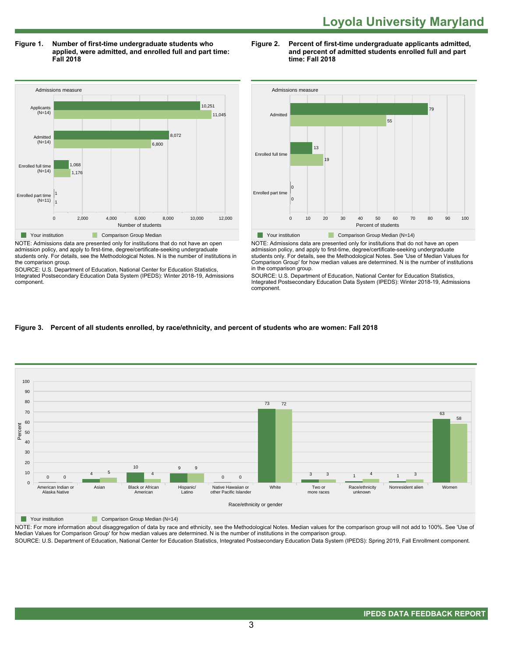**Figure 1. Number of first-time undergraduate students who applied, were admitted, and enrolled full and part time: Fall 2018**



NOTE: Admissions data are presented only for institutions that do not have an open admission policy, and apply to first-time, degree/certificate-seeking undergraduate students only. For details, see the Methodological Notes. N is the number of institutions in the comparison group.

SOURCE: U.S. Department of Education, National Center for Education Statistics, Integrated Postsecondary Education Data System (IPEDS): Winter 2018-19, Admissions component.

#### **Figure 2. Percent of first-time undergraduate applicants admitted, and percent of admitted students enrolled full and part time: Fall 2018**



NOTE: Admissions data are presented only for institutions that do not have an open admission policy, and apply to first-time, degree/certificate-seeking undergraduate students only. For details, see the Methodological Notes. See 'Use of Median Values for Comparison Group' for how median values are determined. N is the number of institutions in the comparison group.

SOURCE: U.S. Department of Education, National Center for Education Statistics, Integrated Postsecondary Education Data System (IPEDS): Winter 2018-19, Admissions component.

## **Figure 3. Percent of all students enrolled, by race/ethnicity, and percent of students who are women: Fall 2018**



**The Comparison Group Median (N=14)** Comparison Group Median (N=14)

NOTE: For more information about disaggregation of data by race and ethnicity, see the Methodological Notes. Median values for the comparison group will not add to 100%. See 'Use of Median Values for Comparison Group' for how median values are determined. N is the number of institutions in the comparison group.

SOURCE: U.S. Department of Education, National Center for Education Statistics, Integrated Postsecondary Education Data System (IPEDS): Spring 2019, Fall Enrollment component.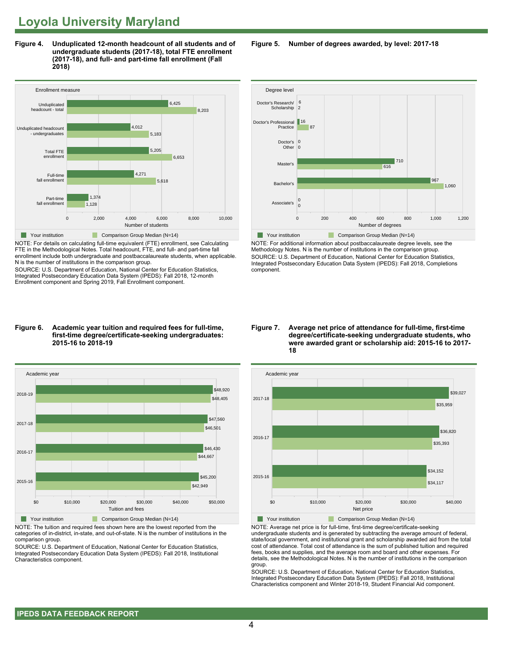**Figure 4. Unduplicated 12-month headcount of all students and of undergraduate students (2017-18), total FTE enrollment (2017-18), and full- and part-time fall enrollment (Fall 2018)**



NOTE: For details on calculating full-time equivalent (FTE) enrollment, see Calculating FTE in the Methodological Notes. Total headcount, FTE, and full- and part-time fall enrollment include both undergraduate and postbaccalaureate students, when applicable. N is the number of institutions in the comparison group.

SOURCE: U.S. Department of Education, National Center for Education Statistics, Integrated Postsecondary Education Data System (IPEDS): Fall 2018, 12-month Enrollment component and Spring 2019, Fall Enrollment component.

#### **Figure 6. Academic year tuition and required fees for full-time, first-time degree/certificate-seeking undergraduates: 2015-16 to 2018-19**



NOTE: The tuition and required fees shown here are the lowest reported from the categories of in-district, in-state, and out-of-state. N is the number of institutions in the comparison group.

SOURCE: U.S. Department of Education, National Center for Education Statistics, Integrated Postsecondary Education Data System (IPEDS): Fall 2018, Institutional Characteristics component.

**Figure 5. Number of degrees awarded, by level: 2017-18**



NOTE: For additional information about postbaccalaureate degree levels, see the Methodology Notes. N is the number of institutions in the comparison group. SOURCE: U.S. Department of Education, National Center for Education Statistics, Integrated Postsecondary Education Data System (IPEDS): Fall 2018, Completions component.

**Figure 7. Average net price of attendance for full-time, first-time degree/certificate-seeking undergraduate students, who were awarded grant or scholarship aid: 2015-16 to 2017- 18**



NOTE: Average net price is for full-time, first-time degree/certificate-seeking undergraduate students and is generated by subtracting the average amount of federal, state/local government, and institutional grant and scholarship awarded aid from the total cost of attendance. Total cost of attendance is the sum of published tuition and required fees, books and supplies, and the average room and board and other expenses. For details, see the Methodological Notes. N is the number of institutions in the comparison group.

SOURCE: U.S. Department of Education, National Center for Education Statistics, Integrated Postsecondary Education Data System (IPEDS): Fall 2018, Institutional Characteristics component and Winter 2018-19, Student Financial Aid component.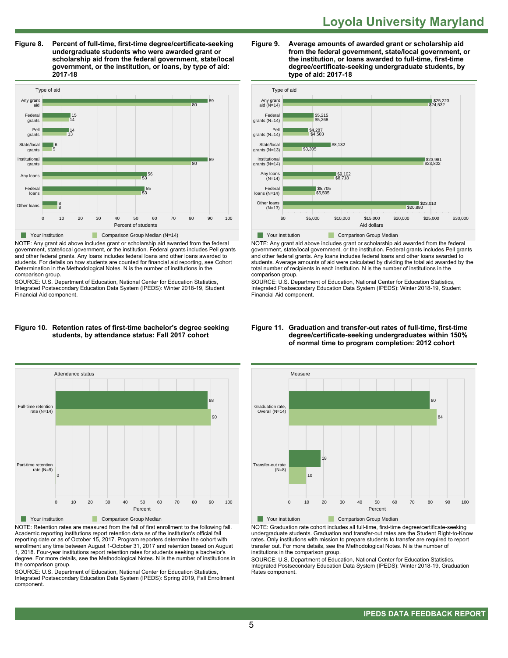**Figure 8. Percent of full-time, first-time degree/certificate-seeking undergraduate students who were awarded grant or scholarship aid from the federal government, state/local government, or the institution, or loans, by type of aid: 2017-18**



NOTE: Any grant aid above includes grant or scholarship aid awarded from the federal government, state/local government, or the institution. Federal grants includes Pell grants and other federal grants. Any loans includes federal loans and other loans awarded to students. For details on how students are counted for financial aid reporting, see Cohort Determination in the Methodological Notes. N is the number of institutions in the comparison group.

SOURCE: U.S. Department of Education, National Center for Education Statistics, Integrated Postsecondary Education Data System (IPEDS): Winter 2018-19, Student Financial Aid component.

#### **Figure 10. Retention rates of first-time bachelor's degree seeking students, by attendance status: Fall 2017 cohort**



NOTE: Retention rates are measured from the fall of first enrollment to the following fall. Academic reporting institutions report retention data as of the institution's official fall reporting date or as of October 15, 2017. Program reporters determine the cohort with enrollment any time between August 1-October 31, 2017 and retention based on August 1, 2018. Four-year institutions report retention rates for students seeking a bachelor's degree. For more details, see the Methodological Notes. N is the number of institutions in the comparison group.

SOURCE: U.S. Department of Education, National Center for Education Statistics, Integrated Postsecondary Education Data System (IPEDS): Spring 2019, Fall Enrollment component.





NOTE: Any grant aid above includes grant or scholarship aid awarded from the federal government, state/local government, or the institution. Federal grants includes Pell grants and other federal grants. Any loans includes federal loans and other loans awarded to students. Average amounts of aid were calculated by dividing the total aid awarded by the total number of recipients in each institution. N is the number of institutions in the comparison group.

SOURCE: U.S. Department of Education, National Center for Education Statistics, Integrated Postsecondary Education Data System (IPEDS): Winter 2018-19, Student Financial Aid component.



NOTE: Graduation rate cohort includes all full-time, first-time degree/certificate-seeking undergraduate students. Graduation and transfer-out rates are the Student Right-to-Know rates. Only institutions with mission to prepare students to transfer are required to report transfer out. For more details, see the Methodological Notes. N is the number of institutions in the comparison group.

SOURCE: U.S. Department of Education, National Center for Education Statistics, Integrated Postsecondary Education Data System (IPEDS): Winter 2018-19, Graduation Rates component.

#### **Figure 11. Graduation and transfer-out rates of full-time, first-time degree/certificate-seeking undergraduates within 150% of normal time to program completion: 2012 cohort**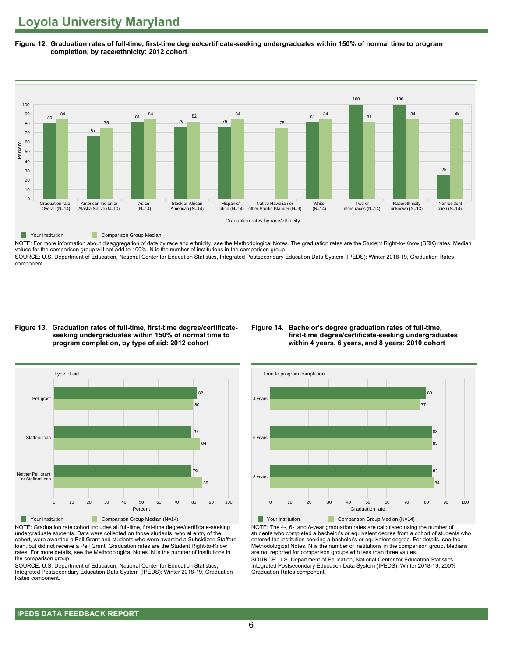**Figure 12. Graduation rates of full-time, first-time degree/certificate-seeking undergraduates within 150% of normal time to program completion, by race/ethnicity: 2012 cohort**



NOTE: For more information about disaggregation of data by race and ethnicity, see the Methodological Notes. The graduation rates are the Student Right-to-Know (SRK) rates. Median values for the comparison group will not add to 100%. N is the number of institutions in the comparison group.

SOURCE: U.S. Department of Education, National Center for Education Statistics, Integrated Postsecondary Education Data System (IPEDS): Winter 2018-19, Graduation Rates component.

#### **Figure 13. Graduation rates of full-time, first-time degree/certificateseeking undergraduates within 150% of normal time to program completion, by type of aid: 2012 cohort**

#### **Figure 14. Bachelor's degree graduation rates of full-time, first-time degree/certificate-seeking undergraduates within 4 years, 6 years, and 8 years: 2010 cohort**



NOTE: Graduation rate cohort includes all full-time, first-time degree/certificate-seeking undergraduate students. Data were collected on those students, who at entry of the cohort, were awarded a Pell Grant and students who were awarded a Subsidized Stafford loan, but did not receive a Pell Grant. Graduation rates are the Student Right-to-Know rates. For more details, see the Methodological Notes. N is the number of institutions in the comparison group.

SOURCE: U.S. Department of Education, National Center for Education Statistics, Integrated Postsecondary Education Data System (IPEDS): Winter 2018-19, Graduation Rates component.



NOTE: The 4-, 6-, and 8-year graduation rates are calculated using the number of students who completed a bachelor's or equivalent degree from a cohort of students who entered the institution seeking a bachelor's or equivalent degree. For details, see the Methodological Notes. N is the number of institutions in the comparison group. Medians are not reported for comparison groups with less than three values.

SOURCE: U.S. Department of Education, National Center for Education Statistics, Integrated Postsecondary Education Data System (IPEDS): Winter 2018-19, 200% Graduation Rates component.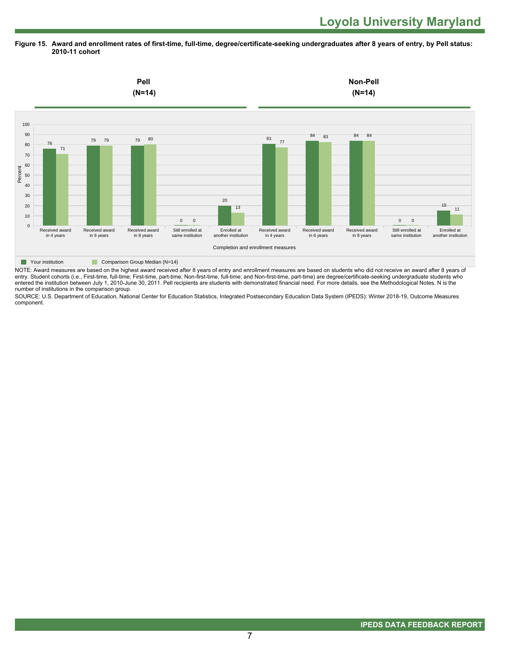**Figure 15. Award and enrollment rates of first-time, full-time, degree/certificate-seeking undergraduates after 8 years of entry, by Pell status: 2010-11 cohort**



NOTE: Award measures are based on the highest award received after 8 years of entry and enrollment measures are based on students who did not receive an award after 8 years of entry. Student cohorts (i.e., First-time, full-time; First-time, part-time; Non-first-time, full-time; and Non-first-time, part-time) are degree/certificate-seeking undergraduate students who entered the institution between July 1, 2010-June 30, 2011. Pell recipients are students with demonstrated financial need. For more details, see the Methodological Notes. N is the number of institutions in the comparison group.

SOURCE: U.S. Department of Education, National Center for Education Statistics, Integrated Postsecondary Education Data System (IPEDS): Winter 2018-19, Outcome Measures component.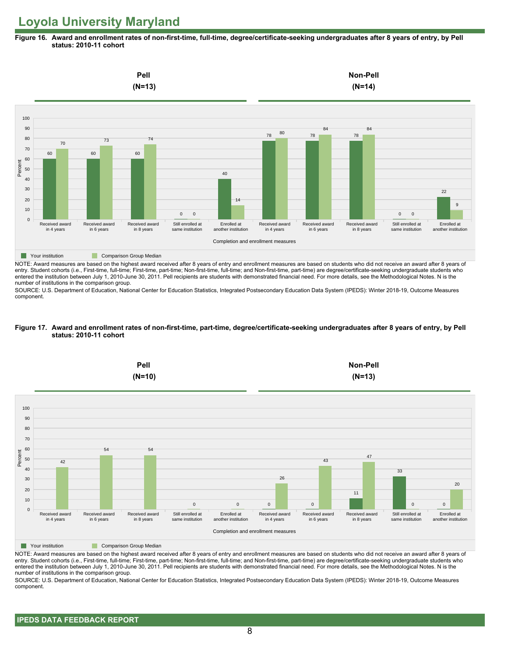**Figure 16. Award and enrollment rates of non-first-time, full-time, degree/certificate-seeking undergraduates after 8 years of entry, by Pell status: 2010-11 cohort**



NOTE: Award measures are based on the highest award received after 8 years of entry and enrollment measures are based on students who did not receive an award after 8 years of entry. Student cohorts (i.e., First-time, full-time; First-time, part-time; Non-first-time, full-time; and Non-first-time, part-time) are degree/certificate-seeking undergraduate students who entered the institution between July 1, 2010-June 30, 2011. Pell recipients are students with demonstrated financial need. For more details, see the Methodological Notes. N is the number of institutions in the comparison group.

SOURCE: U.S. Department of Education, National Center for Education Statistics, Integrated Postsecondary Education Data System (IPEDS): Winter 2018-19, Outcome Measures component.

#### **Figure 17. Award and enrollment rates of non-first-time, part-time, degree/certificate-seeking undergraduates after 8 years of entry, by Pell status: 2010-11 cohort**



NOTE: Award measures are based on the highest award received after 8 years of entry and enrollment measures are based on students who did not receive an award after 8 years of entry. Student cohorts (i.e., First-time, full-time; First-time, part-time; Non-first-time, full-time; and Non-first-time, part-time) are degree/certificate-seeking undergraduate students who entered the institution between July 1, 2010-June 30, 2011. Pell recipients are students with demonstrated financial need. For more details, see the Methodological Notes. N is the number of institutions in the comparison group.

SOURCE: U.S. Department of Education, National Center for Education Statistics, Integrated Postsecondary Education Data System (IPEDS): Winter 2018-19, Outcome Measures component.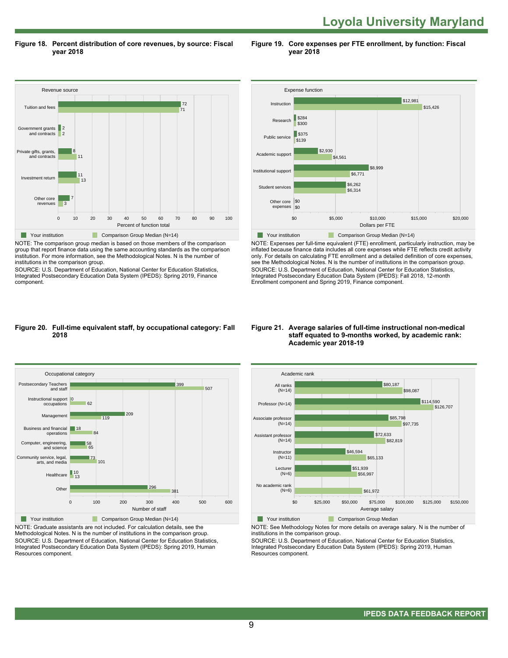**Loyola University Maryland** 

**Figure 18. Percent distribution of core revenues, by source: Fiscal year 2018**

Revenue source 0 10 20 30 40 50 60 70 80 90 100 Percent of function total Other core revenues Investment return Private gifts, grants, and contracts Government grants and contra Tuition and fees 3 7 13 11 11 8 2 2 71 **72 The Comparison Group Median (N=14)** Comparison Group Median (N=14)

NOTE: The comparison group median is based on those members of the comparison group that report finance data using the same accounting standards as the comparison institution. For more information, see the Methodological Notes. N is the number of institutions in the comparison group.

SOURCE: U.S. Department of Education, National Center for Education Statistics, Integrated Postsecondary Education Data System (IPEDS): Spring 2019, Finance component.



**Figure 19. Core expenses per FTE enrollment, by function: Fiscal**

**year 2018**

NOTE: Expenses per full-time equivalent (FTE) enrollment, particularly instruction, may be inflated because finance data includes all core expenses while FTE reflects credit activity only. For details on calculating FTE enrollment and a detailed definition of core expenses, see the Methodological Notes. N is the number of institutions in the comparison group. SOURCE: U.S. Department of Education, National Center for Education Statistics, Integrated Postsecondary Education Data System (IPEDS): Fall 2018, 12-month Enrollment component and Spring 2019, Finance component.

#### **Figure 20. Full-time equivalent staff, by occupational category: Fall 2018**



NOTE: Graduate assistants are not included. For calculation details, see the Methodological Notes. N is the number of institutions in the comparison group. SOURCE: U.S. Department of Education, National Center for Education Statistics, Integrated Postsecondary Education Data System (IPEDS): Spring 2019, Human Resources component.

#### **Figure 21. Average salaries of full-time instructional non-medical staff equated to 9-months worked, by academic rank: Academic year 2018-19**



NOTE: See Methodology Notes for more details on average salary. N is the number of

institutions in the comparison group.

SOURCE: U.S. Department of Education, National Center for Education Statistics, Integrated Postsecondary Education Data System (IPEDS): Spring 2019, Human Resources component.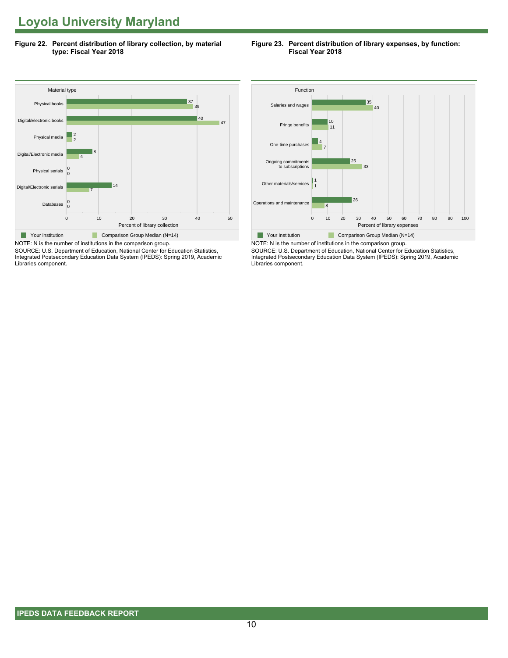**Figure 22. Percent distribution of library collection, by material type: Fiscal Year 2018**

#### **Figure 23. Percent distribution of library expenses, by function: Fiscal Year 2018**



SOURCE: U.S. Department of Education, National Center for Education Statistics, Integrated Postsecondary Education Data System (IPEDS): Spring 2019, Academic Libraries component.



NOTE: N is the number of institutions in the comparison group. SOURCE: U.S. Department of Education, National Center for Education Statistics, Integrated Postsecondary Education Data System (IPEDS): Spring 2019, Academic Libraries component.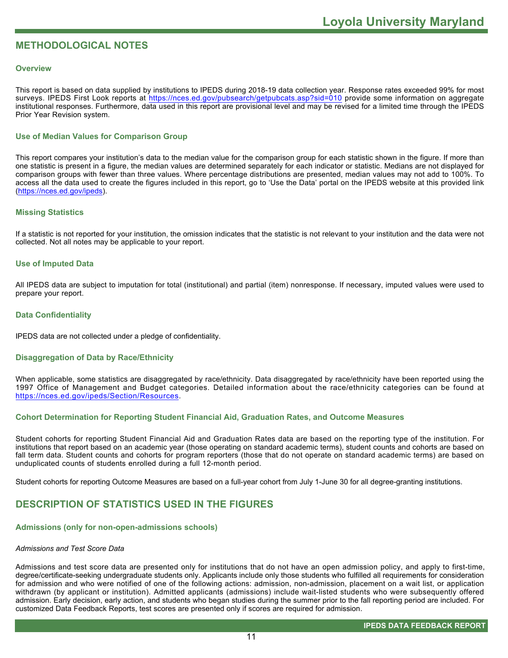# **METHODOLOGICAL NOTES**

#### **Overview**

This report is based on data supplied by institutions to IPEDS during 2018-19 data collection year. Response rates exceeded 99% for most surveys. IPEDS First Look reports at<https://nces.ed.gov/pubsearch/getpubcats.asp?sid=010> provide some information on aggregate institutional responses. Furthermore, data used in this report are provisional level and may be revised for a limited time through the IPEDS Prior Year Revision system.

# **Use of Median Values for Comparison Group**

This report compares your institution's data to the median value for the comparison group for each statistic shown in the figure. If more than one statistic is present in a figure, the median values are determined separately for each indicator or statistic. Medians are not displayed for comparison groups with fewer than three values. Where percentage distributions are presented, median values may not add to 100%. To access all the data used to create the figures included in this report, go to 'Use the Data' portal on the IPEDS website at this provided link ([https://nces.ed.gov/ipeds\)](https://nces.ed.gov/ipeds).

#### **Missing Statistics**

If a statistic is not reported for your institution, the omission indicates that the statistic is not relevant to your institution and the data were not collected. Not all notes may be applicable to your report.

#### **Use of Imputed Data**

All IPEDS data are subject to imputation for total (institutional) and partial (item) nonresponse. If necessary, imputed values were used to prepare your report.

#### **Data Confidentiality**

IPEDS data are not collected under a pledge of confidentiality.

#### **Disaggregation of Data by Race/Ethnicity**

When applicable, some statistics are disaggregated by race/ethnicity. Data disaggregated by race/ethnicity have been reported using the 1997 Office of Management and Budget categories. Detailed information about the race/ethnicity categories can be found at <https://nces.ed.gov/ipeds/Section/Resources>.

# **Cohort Determination for Reporting Student Financial Aid, Graduation Rates, and Outcome Measures**

Student cohorts for reporting Student Financial Aid and Graduation Rates data are based on the reporting type of the institution. For institutions that report based on an academic year (those operating on standard academic terms), student counts and cohorts are based on fall term data. Student counts and cohorts for program reporters (those that do not operate on standard academic terms) are based on unduplicated counts of students enrolled during a full 12-month period.

Student cohorts for reporting Outcome Measures are based on a full-year cohort from July 1-June 30 for all degree-granting institutions.

# **DESCRIPTION OF STATISTICS USED IN THE FIGURES**

#### **Admissions (only for non-open-admissions schools)**

#### *Admissions and Test Score Data*

Admissions and test score data are presented only for institutions that do not have an open admission policy, and apply to first-time, degree/certificate-seeking undergraduate students only. Applicants include only those students who fulfilled all requirements for consideration for admission and who were notified of one of the following actions: admission, non-admission, placement on a wait list, or application withdrawn (by applicant or institution). Admitted applicants (admissions) include wait-listed students who were subsequently offered admission. Early decision, early action, and students who began studies during the summer prior to the fall reporting period are included. For customized Data Feedback Reports, test scores are presented only if scores are required for admission.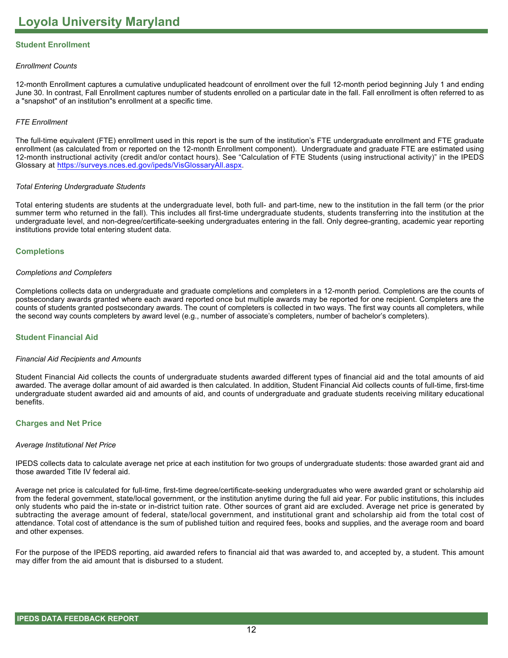# **Student Enrollment**

#### *Enrollment Counts*

12-month Enrollment captures a cumulative unduplicated headcount of enrollment over the full 12-month period beginning July 1 and ending June 30. In contrast, Fall Enrollment captures number of students enrolled on a particular date in the fall. Fall enrollment is often referred to as a "snapshot" of an institution"s enrollment at a specific time.

#### *FTE Enrollment*

The full-time equivalent (FTE) enrollment used in this report is the sum of the institution's FTE undergraduate enrollment and FTE graduate enrollment (as calculated from or reported on the 12-month Enrollment component). Undergraduate and graduate FTE are estimated using 12-month instructional activity (credit and/or contact hours). See "Calculation of FTE Students (using instructional activity)" in the IPEDS Glossary at <https://surveys.nces.ed.gov/ipeds/VisGlossaryAll.aspx>.

#### *Total Entering Undergraduate Students*

Total entering students are students at the undergraduate level, both full- and part-time, new to the institution in the fall term (or the prior summer term who returned in the fall). This includes all first-time undergraduate students, students transferring into the institution at the undergraduate level, and non-degree/certificate-seeking undergraduates entering in the fall. Only degree-granting, academic year reporting institutions provide total entering student data.

#### **Completions**

#### *Completions and Completers*

Completions collects data on undergraduate and graduate completions and completers in a 12-month period. Completions are the counts of postsecondary awards granted where each award reported once but multiple awards may be reported for one recipient. Completers are the counts of students granted postsecondary awards. The count of completers is collected in two ways. The first way counts all completers, while the second way counts completers by award level (e.g., number of associate's completers, number of bachelor's completers).

#### **Student Financial Aid**

#### *Financial Aid Recipients and Amounts*

Student Financial Aid collects the counts of undergraduate students awarded different types of financial aid and the total amounts of aid awarded. The average dollar amount of aid awarded is then calculated. In addition, Student Financial Aid collects counts of full-time, first-time undergraduate student awarded aid and amounts of aid, and counts of undergraduate and graduate students receiving military educational benefits.

#### **Charges and Net Price**

#### *Average Institutional Net Price*

IPEDS collects data to calculate average net price at each institution for two groups of undergraduate students: those awarded grant aid and those awarded Title IV federal aid.

Average net price is calculated for full-time, first-time degree/certificate-seeking undergraduates who were awarded grant or scholarship aid from the federal government, state/local government, or the institution anytime during the full aid year. For public institutions, this includes only students who paid the in-state or in-district tuition rate. Other sources of grant aid are excluded. Average net price is generated by subtracting the average amount of federal, state/local government, and institutional grant and scholarship aid from the total cost of attendance. Total cost of attendance is the sum of published tuition and required fees, books and supplies, and the average room and board and other expenses.

For the purpose of the IPEDS reporting, aid awarded refers to financial aid that was awarded to, and accepted by, a student. This amount may differ from the aid amount that is disbursed to a student.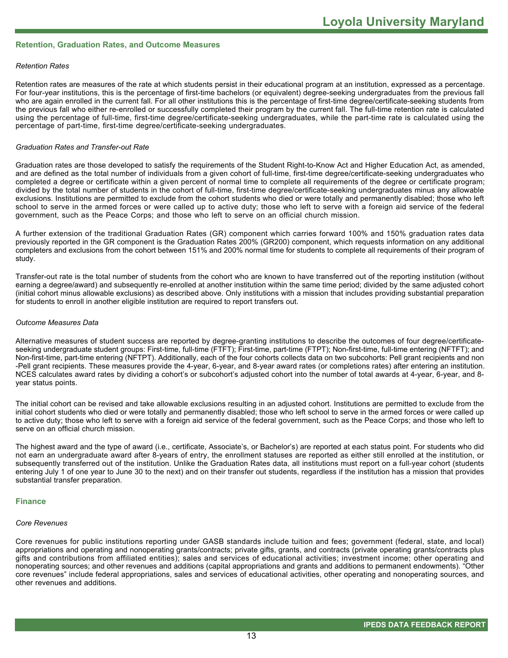#### **Retention, Graduation Rates, and Outcome Measures**

#### *Retention Rates*

Retention rates are measures of the rate at which students persist in their educational program at an institution, expressed as a percentage. For four-year institutions, this is the percentage of first-time bachelors (or equivalent) degree-seeking undergraduates from the previous fall who are again enrolled in the current fall. For all other institutions this is the percentage of first-time degree/certificate-seeking students from the previous fall who either re-enrolled or successfully completed their program by the current fall. The full-time retention rate is calculated using the percentage of full-time, first-time degree/certificate-seeking undergraduates, while the part-time rate is calculated using the percentage of part-time, first-time degree/certificate-seeking undergraduates.

#### *Graduation Rates and Transfer-out Rate*

Graduation rates are those developed to satisfy the requirements of the Student Right-to-Know Act and Higher Education Act, as amended, and are defined as the total number of individuals from a given cohort of full-time, first-time degree/certificate-seeking undergraduates who completed a degree or certificate within a given percent of normal time to complete all requirements of the degree or certificate program; divided by the total number of students in the cohort of full-time, first-time degree/certificate-seeking undergraduates minus any allowable exclusions. Institutions are permitted to exclude from the cohort students who died or were totally and permanently disabled; those who left school to serve in the armed forces or were called up to active duty; those who left to serve with a foreign aid service of the federal government, such as the Peace Corps; and those who left to serve on an official church mission.

A further extension of the traditional Graduation Rates (GR) component which carries forward 100% and 150% graduation rates data previously reported in the GR component is the Graduation Rates 200% (GR200) component, which requests information on any additional completers and exclusions from the cohort between 151% and 200% normal time for students to complete all requirements of their program of study.

Transfer-out rate is the total number of students from the cohort who are known to have transferred out of the reporting institution (without earning a degree/award) and subsequently re-enrolled at another institution within the same time period; divided by the same adjusted cohort (initial cohort minus allowable exclusions) as described above. Only institutions with a mission that includes providing substantial preparation for students to enroll in another eligible institution are required to report transfers out.

#### *Outcome Measures Data*

Alternative measures of student success are reported by degree-granting institutions to describe the outcomes of four degree/certificateseeking undergraduate student groups: First-time, full-time (FTFT); First-time, part-time (FTPT); Non-first-time, full-time entering (NFTFT); and Non-first-time, part-time entering (NFTPT). Additionally, each of the four cohorts collects data on two subcohorts: Pell grant recipients and non -Pell grant recipients. These measures provide the 4-year, 6-year, and 8-year award rates (or completions rates) after entering an institution. NCES calculates award rates by dividing a cohort's or subcohort's adjusted cohort into the number of total awards at 4-year, 6-year, and 8year status points.

The initial cohort can be revised and take allowable exclusions resulting in an adjusted cohort. Institutions are permitted to exclude from the initial cohort students who died or were totally and permanently disabled; those who left school to serve in the armed forces or were called up to active duty; those who left to serve with a foreign aid service of the federal government, such as the Peace Corps; and those who left to serve on an official church mission.

The highest award and the type of award (i.e., certificate, Associate's, or Bachelor's) are reported at each status point. For students who did not earn an undergraduate award after 8-years of entry, the enrollment statuses are reported as either still enrolled at the institution, or subsequently transferred out of the institution. Unlike the Graduation Rates data, all institutions must report on a full-year cohort (students entering July 1 of one year to June 30 to the next) and on their transfer out students, regardless if the institution has a mission that provides substantial transfer preparation.

#### **Finance**

#### *Core Revenues*

Core revenues for public institutions reporting under GASB standards include tuition and fees; government (federal, state, and local) appropriations and operating and nonoperating grants/contracts; private gifts, grants, and contracts (private operating grants/contracts plus gifts and contributions from affiliated entities); sales and services of educational activities; investment income; other operating and nonoperating sources; and other revenues and additions (capital appropriations and grants and additions to permanent endowments). "Other core revenues" include federal appropriations, sales and services of educational activities, other operating and nonoperating sources, and other revenues and additions.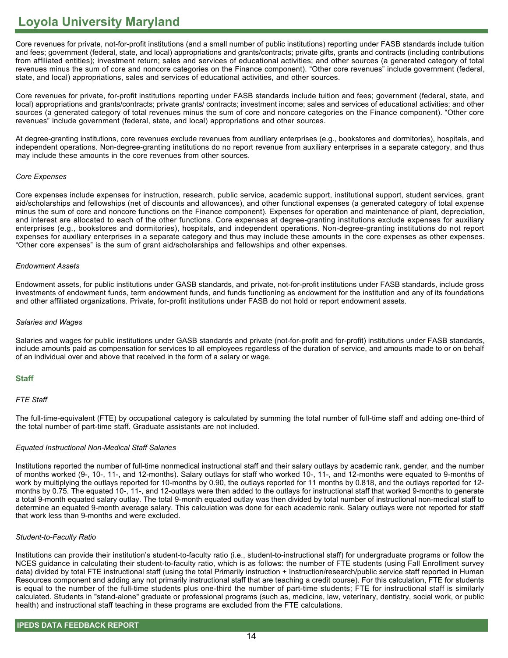Core revenues for private, not-for-profit institutions (and a small number of public institutions) reporting under FASB standards include tuition and fees; government (federal, state, and local) appropriations and grants/contracts; private gifts, grants and contracts (including contributions from affiliated entities); investment return; sales and services of educational activities; and other sources (a generated category of total revenues minus the sum of core and noncore categories on the Finance component). "Other core revenues" include government (federal, state, and local) appropriations, sales and services of educational activities, and other sources.

Core revenues for private, for-profit institutions reporting under FASB standards include tuition and fees; government (federal, state, and local) appropriations and grants/contracts; private grants/ contracts; investment income; sales and services of educational activities; and other sources (a generated category of total revenues minus the sum of core and noncore categories on the Finance component). "Other core revenues" include government (federal, state, and local) appropriations and other sources.

At degree-granting institutions, core revenues exclude revenues from auxiliary enterprises (e.g., bookstores and dormitories), hospitals, and independent operations. Non-degree-granting institutions do no report revenue from auxiliary enterprises in a separate category, and thus may include these amounts in the core revenues from other sources.

#### *Core Expenses*

Core expenses include expenses for instruction, research, public service, academic support, institutional support, student services, grant aid/scholarships and fellowships (net of discounts and allowances), and other functional expenses (a generated category of total expense minus the sum of core and noncore functions on the Finance component). Expenses for operation and maintenance of plant, depreciation, and interest are allocated to each of the other functions. Core expenses at degree-granting institutions exclude expenses for auxiliary enterprises (e.g., bookstores and dormitories), hospitals, and independent operations. Non-degree-granting institutions do not report expenses for auxiliary enterprises in a separate category and thus may include these amounts in the core expenses as other expenses. "Other core expenses" is the sum of grant aid/scholarships and fellowships and other expenses.

#### *Endowment Assets*

Endowment assets, for public institutions under GASB standards, and private, not-for-profit institutions under FASB standards, include gross investments of endowment funds, term endowment funds, and funds functioning as endowment for the institution and any of its foundations and other affiliated organizations. Private, for-profit institutions under FASB do not hold or report endowment assets.

#### *Salaries and Wages*

Salaries and wages for public institutions under GASB standards and private (not-for-profit and for-profit) institutions under FASB standards, include amounts paid as compensation for services to all employees regardless of the duration of service, and amounts made to or on behalf of an individual over and above that received in the form of a salary or wage.

## **Staff**

## *FTE Staff*

The full-time-equivalent (FTE) by occupational category is calculated by summing the total number of full-time staff and adding one-third of the total number of part-time staff. Graduate assistants are not included.

## *Equated Instructional Non-Medical Staff Salaries*

Institutions reported the number of full-time nonmedical instructional staff and their salary outlays by academic rank, gender, and the number of months worked (9-, 10-, 11-, and 12-months). Salary outlays for staff who worked 10-, 11-, and 12-months were equated to 9-months of work by multiplying the outlays reported for 10-months by 0.90, the outlays reported for 11 months by 0.818, and the outlays reported for 12 months by 0.75. The equated 10-, 11-, and 12-outlays were then added to the outlays for instructional staff that worked 9-months to generate a total 9-month equated salary outlay. The total 9-month equated outlay was then divided by total number of instructional non-medical staff to determine an equated 9-month average salary. This calculation was done for each academic rank. Salary outlays were not reported for staff that work less than 9-months and were excluded.

## *Student-to-Faculty Ratio*

Institutions can provide their institution's student-to-faculty ratio (i.e., student-to-instructional staff) for undergraduate programs or follow the NCES guidance in calculating their student-to-faculty ratio, which is as follows: the number of FTE students (using Fall Enrollment survey data) divided by total FTE instructional staff (using the total Primarily instruction + Instruction/research/public service staff reported in Human Resources component and adding any not primarily instructional staff that are teaching a credit course). For this calculation, FTE for students is equal to the number of the full-time students plus one-third the number of part-time students; FTE for instructional staff is similarly calculated. Students in "stand-alone" graduate or professional programs (such as, medicine, law, veterinary, dentistry, social work, or public health) and instructional staff teaching in these programs are excluded from the FTE calculations.